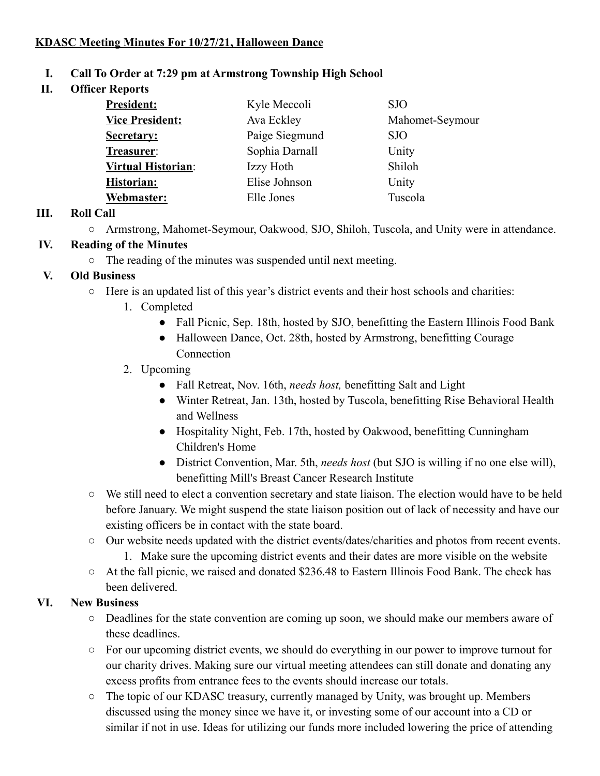### **KDASC Meeting Minutes For 10/27/21, Halloween Dance**

#### **I. Call To Order at 7:29 pm at Armstrong Township High School**

**II. Officer Reports**

| <b>President:</b>         | Kyle Meccoli   | <b>SJO</b>      |
|---------------------------|----------------|-----------------|
| <b>Vice President:</b>    | Ava Eckley     | Mahomet-Seymour |
| Secretary:                | Paige Siegmund | SJO             |
| Treasurer:                | Sophia Darnall | Unity           |
| <b>Virtual Historian:</b> | Izzy Hoth      | Shiloh          |
| <b>Historian:</b>         | Elise Johnson  | Unity           |
| Webmaster:                | Elle Jones     | Tuscola         |

#### **III. Roll Call**

○ Armstrong, Mahomet-Seymour, Oakwood, SJO, Shiloh, Tuscola, and Unity were in attendance.

#### **IV. Reading of the Minutes**

○ The reading of the minutes was suspended until next meeting.

#### **V. Old Business**

- Here is an updated list of this year's district events and their host schools and charities:
	- 1. Completed
		- Fall Picnic, Sep. 18th, hosted by SJO, benefitting the Eastern Illinois Food Bank
		- Halloween Dance, Oct. 28th, hosted by Armstrong, benefitting Courage **Connection**

#### 2. Upcoming

- Fall Retreat, Nov. 16th, *needs host,* benefitting Salt and Light
- Winter Retreat, Jan. 13th, hosted by Tuscola, benefitting Rise Behavioral Health and Wellness
- Hospitality Night, Feb. 17th, hosted by Oakwood, benefitting Cunningham Children's Home
- District Convention, Mar. 5th, *needs host* (but SJO is willing if no one else will), benefitting Mill's Breast Cancer Research Institute
- We still need to elect a convention secretary and state liaison. The election would have to be held before January. We might suspend the state liaison position out of lack of necessity and have our existing officers be in contact with the state board.
- Our website needs updated with the district events/dates/charities and photos from recent events.
	- 1. Make sure the upcoming district events and their dates are more visible on the website
- At the fall picnic, we raised and donated \$236.48 to Eastern Illinois Food Bank. The check has been delivered.

#### **VI. New Business**

- Deadlines for the state convention are coming up soon, we should make our members aware of these deadlines.
- For our upcoming district events, we should do everything in our power to improve turnout for our charity drives. Making sure our virtual meeting attendees can still donate and donating any excess profits from entrance fees to the events should increase our totals.
- The topic of our KDASC treasury, currently managed by Unity, was brought up. Members discussed using the money since we have it, or investing some of our account into a CD or similar if not in use. Ideas for utilizing our funds more included lowering the price of attending